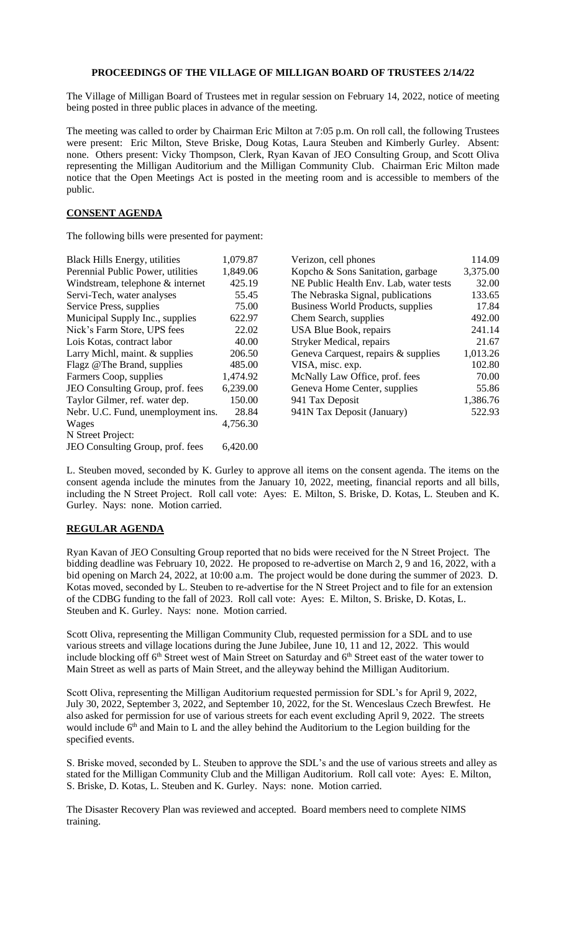## **PROCEEDINGS OF THE VILLAGE OF MILLIGAN BOARD OF TRUSTEES 2/14/22**

The Village of Milligan Board of Trustees met in regular session on February 14, 2022, notice of meeting being posted in three public places in advance of the meeting.

The meeting was called to order by Chairman Eric Milton at 7:05 p.m. On roll call, the following Trustees were present: Eric Milton, Steve Briske, Doug Kotas, Laura Steuben and Kimberly Gurley. Absent: none. Others present: Vicky Thompson, Clerk, Ryan Kavan of JEO Consulting Group, and Scott Oliva representing the Milligan Auditorium and the Milligan Community Club. Chairman Eric Milton made notice that the Open Meetings Act is posted in the meeting room and is accessible to members of the public.

## **CONSENT AGENDA**

The following bills were presented for payment:

| 1,079.87                                    | Verizon, cell phones                   | 114.09   |
|---------------------------------------------|----------------------------------------|----------|
| 1,849.06                                    | Kopcho & Sons Sanitation, garbage      | 3,375.00 |
| 425.19                                      | NE Public Health Env. Lab, water tests | 32.00    |
| 55.45                                       | The Nebraska Signal, publications      | 133.65   |
| 75.00                                       | Business World Products, supplies      | 17.84    |
| 622.97                                      | Chem Search, supplies                  | 492.00   |
| 22.02                                       | USA Blue Book, repairs                 | 241.14   |
| 40.00                                       | Stryker Medical, repairs               | 21.67    |
| 206.50                                      | Geneva Carquest, repairs & supplies    | 1,013.26 |
| 485.00                                      | VISA, misc. exp.                       | 102.80   |
| 1,474.92                                    | McNally Law Office, prof. fees         | 70.00    |
| 6,239.00                                    | Geneva Home Center, supplies           | 55.86    |
| 150.00                                      | 941 Tax Deposit                        | 1,386.76 |
| Nebr. U.C. Fund, unemployment ins.<br>28.84 | 941N Tax Deposit (January)             | 522.93   |
| 4,756.30                                    |                                        |          |
|                                             |                                        |          |
| 6,420.00                                    |                                        |          |
|                                             |                                        |          |

L. Steuben moved, seconded by K. Gurley to approve all items on the consent agenda. The items on the consent agenda include the minutes from the January 10, 2022, meeting, financial reports and all bills, including the N Street Project. Roll call vote: Ayes: E. Milton, S. Briske, D. Kotas, L. Steuben and K. Gurley. Nays: none. Motion carried.

## **REGULAR AGENDA**

Ryan Kavan of JEO Consulting Group reported that no bids were received for the N Street Project. The bidding deadline was February 10, 2022. He proposed to re-advertise on March 2, 9 and 16, 2022, with a bid opening on March 24, 2022, at 10:00 a.m. The project would be done during the summer of 2023. D. Kotas moved, seconded by L. Steuben to re-advertise for the N Street Project and to file for an extension of the CDBG funding to the fall of 2023. Roll call vote: Ayes: E. Milton, S. Briske, D. Kotas, L. Steuben and K. Gurley. Nays: none. Motion carried.

Scott Oliva, representing the Milligan Community Club, requested permission for a SDL and to use various streets and village locations during the June Jubilee, June 10, 11 and 12, 2022. This would include blocking off 6<sup>th</sup> Street west of Main Street on Saturday and 6<sup>th</sup> Street east of the water tower to Main Street as well as parts of Main Street, and the alleyway behind the Milligan Auditorium.

Scott Oliva, representing the Milligan Auditorium requested permission for SDL's for April 9, 2022, July 30, 2022, September 3, 2022, and September 10, 2022, for the St. Wenceslaus Czech Brewfest. He also asked for permission for use of various streets for each event excluding April 9, 2022. The streets would include  $6<sup>th</sup>$  and Main to L and the alley behind the Auditorium to the Legion building for the specified events.

S. Briske moved, seconded by L. Steuben to approve the SDL's and the use of various streets and alley as stated for the Milligan Community Club and the Milligan Auditorium. Roll call vote: Ayes: E. Milton, S. Briske, D. Kotas, L. Steuben and K. Gurley. Nays: none. Motion carried.

The Disaster Recovery Plan was reviewed and accepted. Board members need to complete NIMS training.